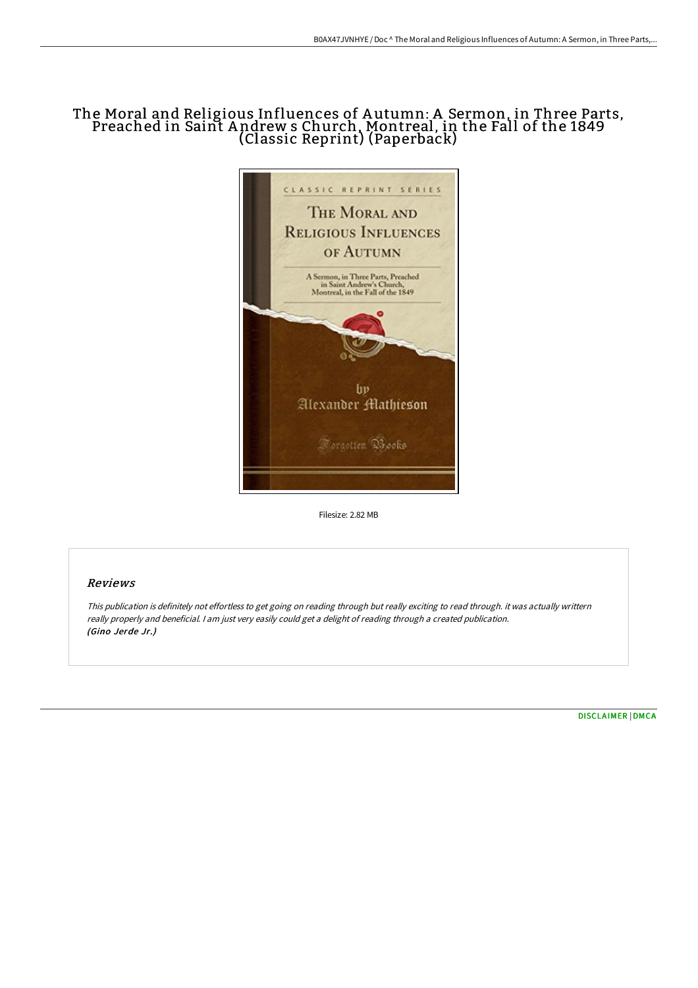## The Moral and Religious Influences of A utumn: A Sermon, in Three Parts, Preached in Saint A ndrew s Church, Montreal, in the Fall of the 1849 (Classic Reprint) (Paperback)



Filesize: 2.82 MB

## Reviews

This publication is definitely not effortless to get going on reading through but really exciting to read through. it was actually writtern really properly and beneficial. <sup>I</sup> am just very easily could get <sup>a</sup> delight of reading through <sup>a</sup> created publication. (Gino Jerde Jr.)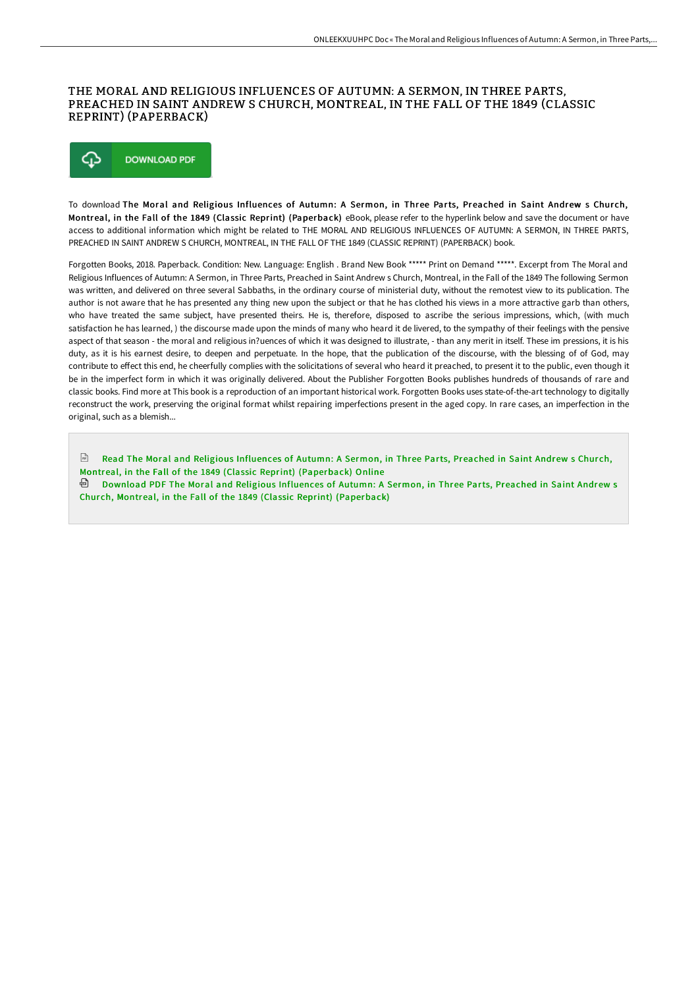## THE MORAL AND RELIGIOUS INFLUENCES OF AUTUMN: A SERMON, IN THREE PARTS, PREACHED IN SAINT ANDREW S CHURCH, MONTREAL, IN THE FALL OF THE 1849 (CLASSIC REPRINT) (PAPERBACK)



To download The Moral and Religious Influences of Autumn: A Sermon, in Three Parts, Preached in Saint Andrew s Church, Montreal, in the Fall of the 1849 (Classic Reprint) (Paperback) eBook, please refer to the hyperlink below and save the document or have access to additional information which might be related to THE MORAL AND RELIGIOUS INFLUENCES OF AUTUMN: A SERMON, IN THREE PARTS, PREACHED IN SAINT ANDREW S CHURCH, MONTREAL, IN THE FALL OF THE 1849 (CLASSIC REPRINT) (PAPERBACK) book.

Forgotten Books, 2018. Paperback. Condition: New. Language: English . Brand New Book \*\*\*\*\* Print on Demand \*\*\*\*\*. Excerpt from The Moral and Religious Influences of Autumn: A Sermon, in Three Parts, Preached in Saint Andrew s Church, Montreal, in the Fall of the 1849 The following Sermon was written, and delivered on three several Sabbaths, in the ordinary course of ministerial duty, without the remotest view to its publication. The author is not aware that he has presented any thing new upon the subject or that he has clothed his views in a more attractive garb than others, who have treated the same subject, have presented theirs. He is, therefore, disposed to ascribe the serious impressions, which, (with much satisfaction he has learned, ) the discourse made upon the minds of many who heard it de livered, to the sympathy of their feelings with the pensive aspect of that season - the moral and religious in?uences of which it was designed to illustrate, - than any merit in itself. These im pressions, it is his duty, as it is his earnest desire, to deepen and perpetuate. In the hope, that the publication of the discourse, with the blessing of of God, may contribute to eFect this end, he cheerfully complies with the solicitations of several who heard it preached, to present it to the public, even though it be in the imperfect form in which it was originally delivered. About the Publisher Forgotten Books publishes hundreds of thousands of rare and classic books. Find more at This book is a reproduction of an important historical work. Forgotten Books uses state-of-the-art technology to digitally reconstruct the work, preserving the original format whilst repairing imperfections present in the aged copy. In rare cases, an imperfection in the original, such as a blemish...

 $\boxed{m}$ Read The Moral and Religious Influences of Autumn: A Sermon, in Three Parts, Preached in Saint Andrew s Church, Montreal, in the Fall of the 1849 (Classic Reprint) [\(Paperback\)](http://albedo.media/the-moral-and-religious-influences-of-autumn-a-s.html) Online Download PDF The Moral and Religious Influences of Autumn: A Sermon, in Three Parts, Preached in Saint Andrew s

Church, Montreal, in the Fall of the 1849 (Classic Reprint) [\(Paperback\)](http://albedo.media/the-moral-and-religious-influences-of-autumn-a-s.html)